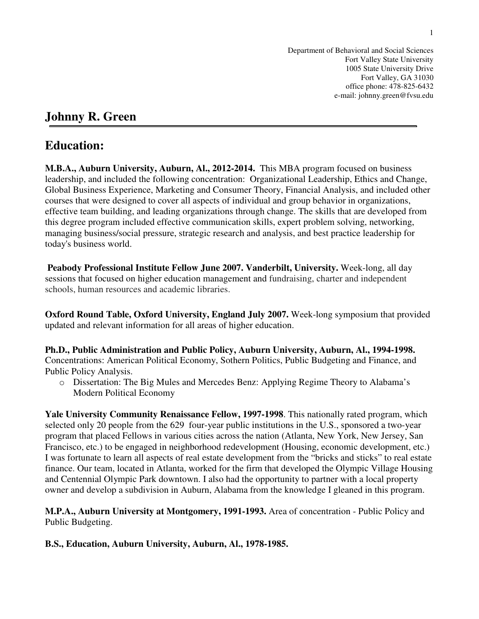Department of Behavioral and Social Sciences Fort Valley State University 1005 State University Drive Fort Valley, GA 31030 office phone: 478-825-6432 e-mail: johnny.green@fvsu.edu

# **Johnny R. Green**

## **Education:**

**M.B.A., Auburn University, Auburn, Al., 2012-2014.** This MBA program focused on business leadership, and included the following concentration: Organizational Leadership, Ethics and Change, Global Business Experience, Marketing and Consumer Theory, Financial Analysis, and included other courses that were designed to cover all aspects of individual and group behavior in organizations, effective team building, and leading organizations through change. The skills that are developed from this degree program included effective communication skills, expert problem solving, networking, managing business/social pressure, strategic research and analysis, and best practice leadership for today's business world.

**Peabody Professional Institute Fellow June 2007. Vanderbilt, University.** Week-long, all day sessions that focused on higher education management and fundraising, charter and independent schools, human resources and academic libraries.

**Oxford Round Table, Oxford University, England July 2007.** Week-long symposium that provided updated and relevant information for all areas of higher education.

**Ph.D., Public Administration and Public Policy, Auburn University, Auburn, Al., 1994-1998.**  Concentrations: American Political Economy, Sothern Politics, Public Budgeting and Finance, and Public Policy Analysis.

o Dissertation: The Big Mules and Mercedes Benz: Applying Regime Theory to Alabama's Modern Political Economy

**Yale University Community Renaissance Fellow, 1997-1998**. This nationally rated program, which selected only 20 people from the 629 four-year public institutions in the U.S., sponsored a two-year program that placed Fellows in various cities across the nation (Atlanta, New York, New Jersey, San Francisco, etc.) to be engaged in neighborhood redevelopment (Housing, economic development, etc.) I was fortunate to learn all aspects of real estate development from the "bricks and sticks" to real estate finance. Our team, located in Atlanta, worked for the firm that developed the Olympic Village Housing and Centennial Olympic Park downtown. I also had the opportunity to partner with a local property owner and develop a subdivision in Auburn, Alabama from the knowledge I gleaned in this program.

**M.P.A., Auburn University at Montgomery, 1991-1993.** Area of concentration - Public Policy and Public Budgeting.

**B.S., Education, Auburn University, Auburn, Al., 1978-1985.**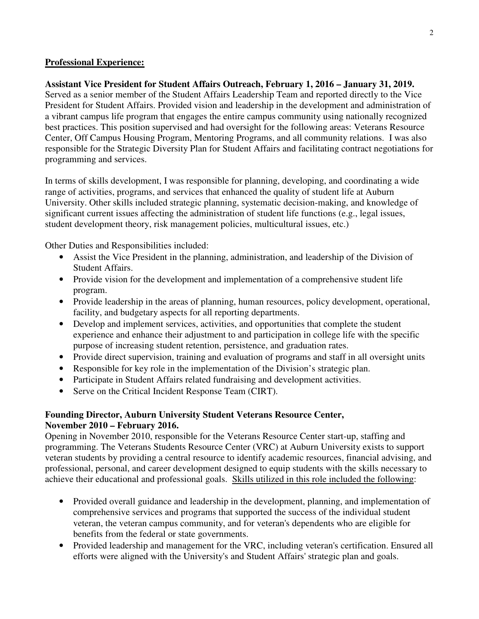#### **Professional Experience:**

#### **Assistant Vice President for Student Affairs Outreach, February 1, 2016 – January 31, 2019.**

Served as a senior member of the Student Affairs Leadership Team and reported directly to the Vice President for Student Affairs. Provided vision and leadership in the development and administration of a vibrant campus life program that engages the entire campus community using nationally recognized best practices. This position supervised and had oversight for the following areas: Veterans Resource Center, Off Campus Housing Program, Mentoring Programs, and all community relations. I was also responsible for the Strategic Diversity Plan for Student Affairs and facilitating contract negotiations for programming and services.

In terms of skills development, I was responsible for planning, developing, and coordinating a wide range of activities, programs, and services that enhanced the quality of student life at Auburn University. Other skills included strategic planning, systematic decision-making, and knowledge of significant current issues affecting the administration of student life functions (e.g., legal issues, student development theory, risk management policies, multicultural issues, etc.)

Other Duties and Responsibilities included:

- Assist the Vice President in the planning, administration, and leadership of the Division of Student Affairs.
- Provide vision for the development and implementation of a comprehensive student life program.
- Provide leadership in the areas of planning, human resources, policy development, operational, facility, and budgetary aspects for all reporting departments.
- Develop and implement services, activities, and opportunities that complete the student experience and enhance their adjustment to and participation in college life with the specific purpose of increasing student retention, persistence, and graduation rates.
- Provide direct supervision, training and evaluation of programs and staff in all oversight units
- Responsible for key role in the implementation of the Division's strategic plan.
- Participate in Student Affairs related fundraising and development activities.
- Serve on the Critical Incident Response Team (CIRT).

## **Founding Director, Auburn University Student Veterans Resource Center, November 2010 – February 2016.**

Opening in November 2010, responsible for the Veterans Resource Center start-up, staffing and programming. The Veterans Students Resource Center (VRC) at Auburn University exists to support veteran students by providing a central resource to identify academic resources, financial advising, and professional, personal, and career development designed to equip students with the skills necessary to achieve their educational and professional goals. Skills utilized in this role included the following:

- Provided overall guidance and leadership in the development, planning, and implementation of comprehensive services and programs that supported the success of the individual student veteran, the veteran campus community, and for veteran's dependents who are eligible for benefits from the federal or state governments.
- Provided leadership and management for the VRC, including veteran's certification. Ensured all efforts were aligned with the University's and Student Affairs' strategic plan and goals.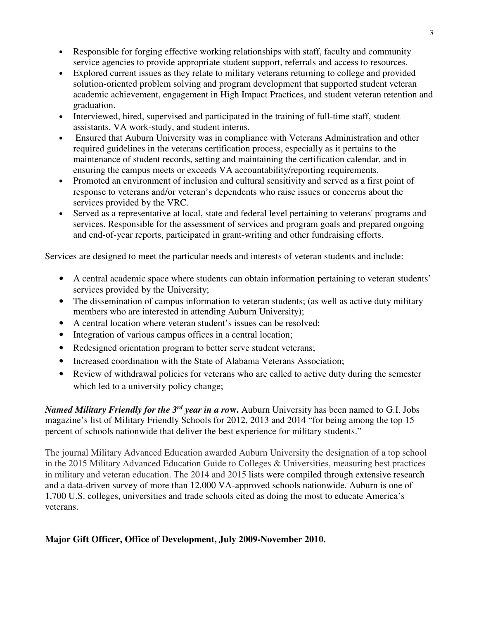- Responsible for forging effective working relationships with staff, faculty and community service agencies to provide appropriate student support, referrals and access to resources.
- Explored current issues as they relate to military veterans returning to college and provided solution-oriented problem solving and program development that supported student veteran academic achievement, engagement in High Impact Practices, and student veteran retention and graduation.
- Interviewed, hired, supervised and participated in the training of full-time staff, student assistants, VA work-study, and student interns.
- Ensured that Auburn University was in compliance with Veterans Administration and other required guidelines in the veterans certification process, especially as it pertains to the maintenance of student records, setting and maintaining the certification calendar, and in ensuring the campus meets or exceeds VA accountability/reporting requirements.
- Promoted an environment of inclusion and cultural sensitivity and served as a first point of response to veterans and/or veteran's dependents who raise issues or concerns about the services provided by the VRC.
- Served as a representative at local, state and federal level pertaining to veterans' programs and services. Responsible for the assessment of services and program goals and prepared ongoing and end-of-year reports, participated in grant-writing and other fundraising efforts.

Services are designed to meet the particular needs and interests of veteran students and include:

- A central academic space where students can obtain information pertaining to veteran students' services provided by the University;
- The dissemination of campus information to veteran students; (as well as active duty military members who are interested in attending Auburn University);
- A central location where veteran student's issues can be resolved:
- Integration of various campus offices in a central location;
- Redesigned orientation program to better serve student veterans;
- Increased coordination with the State of Alabama Veterans Association:
- Review of withdrawal policies for veterans who are called to active duty during the semester which led to a university policy change;

*Named Military Friendly for the 3rd year in a ro***w.** Auburn University has been named to G.I. Jobs magazine's list of Military Friendly Schools for 2012, 2013 and 2014 "for being among the top 15 percent of schools nationwide that deliver the best experience for military students."

The journal Military Advanced Education awarded Auburn University the designation of a top school in the 2015 Military Advanced Education Guide to Colleges & Universities, measuring best practices in military and veteran education. The 2014 and 2015 lists were compiled through extensive research and a data-driven survey of more than 12,000 VA-approved schools nationwide. Auburn is one of 1,700 U.S. colleges, universities and trade schools cited as doing the most to educate America's veterans.

## **Major Gift Officer, Office of Development, July 2009-November 2010.**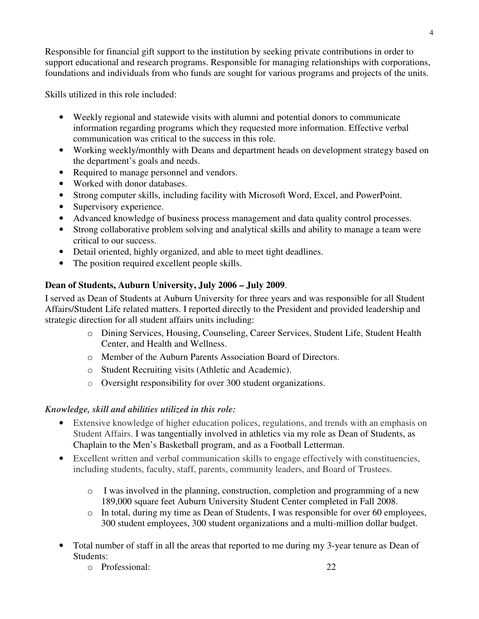Responsible for financial gift support to the institution by seeking private contributions in order to support educational and research programs. Responsible for managing relationships with corporations, foundations and individuals from who funds are sought for various programs and projects of the units.

Skills utilized in this role included:

- Weekly regional and statewide visits with alumni and potential donors to communicate information regarding programs which they requested more information. Effective verbal communication was critical to the success in this role.
- Working weekly/monthly with Deans and department heads on development strategy based on the department's goals and needs.
- Required to manage personnel and vendors.
- Worked with donor databases.
- Strong computer skills, including facility with Microsoft Word, Excel, and PowerPoint.
- Supervisory experience.
- Advanced knowledge of business process management and data quality control processes.
- Strong collaborative problem solving and analytical skills and ability to manage a team were critical to our success.
- Detail oriented, highly organized, and able to meet tight deadlines.
- The position required excellent people skills.

## **Dean of Students, Auburn University, July 2006 – July 2009**.

I served as Dean of Students at Auburn University for three years and was responsible for all Student Affairs/Student Life related matters. I reported directly to the President and provided leadership and strategic direction for all student affairs units including:

- o Dining Services, Housing, Counseling, Career Services, Student Life, Student Health Center, and Health and Wellness.
- o Member of the Auburn Parents Association Board of Directors.
- o Student Recruiting visits (Athletic and Academic).
- o Oversight responsibility for over 300 student organizations.

## *Knowledge, skill and abilities utilized in this role:*

- Extensive knowledge of higher education polices, regulations, and trends with an emphasis on Student Affairs. I was tangentially involved in athletics via my role as Dean of Students, as Chaplain to the Men's Basketball program, and as a Football Letterman.
- Excellent written and verbal communication skills to engage effectively with constituencies, including students, faculty, staff, parents, community leaders, and Board of Trustees.
	- o I was involved in the planning, construction, completion and programming of a new 189,000 square feet Auburn University Student Center completed in Fall 2008.
	- o In total, during my time as Dean of Students, I was responsible for over 60 employees, 300 student employees, 300 student organizations and a multi-million dollar budget.
- Total number of staff in all the areas that reported to me during my 3-year tenure as Dean of Students:
	- o Professional: 22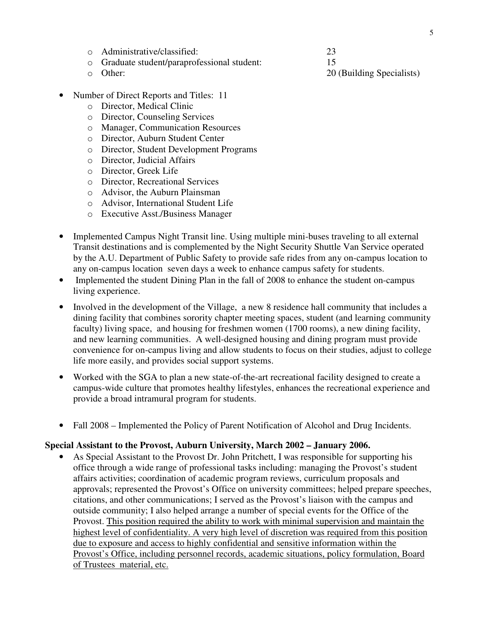- o Administrative/classified: 23
- o Graduate student/paraprofessional student: 15
- 
- Number of Direct Reports and Titles: 11
	- o Director, Medical Clinic
	- o Director, Counseling Services
	- o Manager, Communication Resources
	- o Director, Auburn Student Center
	- o Director, Student Development Programs
	- o Director, Judicial Affairs
	- o Director, Greek Life
	- o Director, Recreational Services
	- o Advisor, the Auburn Plainsman
	- o Advisor, International Student Life
	- o Executive Asst./Business Manager
- Implemented Campus Night Transit line. Using multiple mini-buses traveling to all external Transit destinations and is complemented by the Night Security Shuttle Van Service operated by the A.U. Department of Public Safety to provide safe rides from any on-campus location to any on-campus location seven days a week to enhance campus safety for students.
- Implemented the student Dining Plan in the fall of 2008 to enhance the student on-campus living experience.
- Involved in the development of the Village, a new 8 residence hall community that includes a dining facility that combines sorority chapter meeting spaces, student (and learning community faculty) living space, and housing for freshmen women (1700 rooms), a new dining facility, and new learning communities. A well-designed housing and dining program must provide convenience for on-campus living and allow students to focus on their studies, adjust to college life more easily, and provides social support systems.
- Worked with the SGA to plan a new state-of-the-art recreational facility designed to create a campus-wide culture that promotes healthy lifestyles, enhances the recreational experience and provide a broad intramural program for students.
- Fall 2008 Implemented the Policy of Parent Notification of Alcohol and Drug Incidents.

#### **Special Assistant to the Provost, Auburn University, March 2002 – January 2006.**

• As Special Assistant to the Provost Dr. John Pritchett, I was responsible for supporting his office through a wide range of professional tasks including: managing the Provost's student affairs activities; coordination of academic program reviews, curriculum proposals and approvals; represented the Provost's Office on university committees; helped prepare speeches, citations, and other communications; I served as the Provost's liaison with the campus and outside community; I also helped arrange a number of special events for the Office of the Provost. This position required the ability to work with minimal supervision and maintain the highest level of confidentiality. A very high level of discretion was required from this position due to exposure and access to highly confidential and sensitive information within the Provost's Office, including personnel records, academic situations, policy formulation, Board of Trustees material, etc.

o Other: 20 (Building Specialists)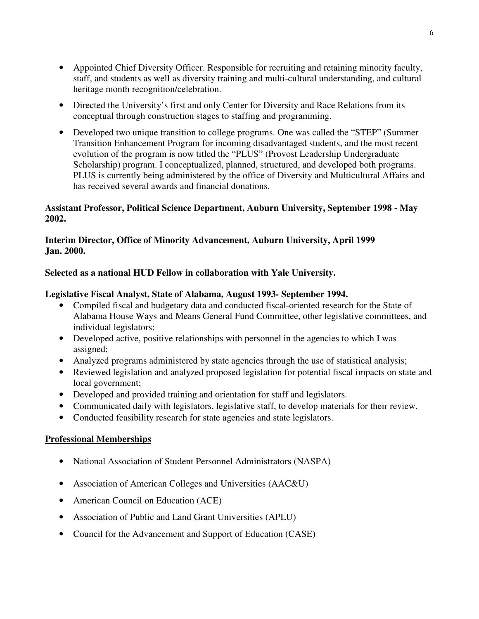- Appointed Chief Diversity Officer. Responsible for recruiting and retaining minority faculty, staff, and students as well as diversity training and multi-cultural understanding, and cultural heritage month recognition/celebration.
- Directed the University's first and only Center for Diversity and Race Relations from its conceptual through construction stages to staffing and programming.
- Developed two unique transition to college programs. One was called the "STEP" (Summer Transition Enhancement Program for incoming disadvantaged students, and the most recent evolution of the program is now titled the "PLUS" (Provost Leadership Undergraduate Scholarship) program. I conceptualized, planned, structured, and developed both programs. PLUS is currently being administered by the office of Diversity and Multicultural Affairs and has received several awards and financial donations.

## **Assistant Professor, Political Science Department, Auburn University, September 1998 - May 2002.**

## **Interim Director, Office of Minority Advancement, Auburn University, April 1999 Jan. 2000.**

## **Selected as a national HUD Fellow in collaboration with Yale University.**

## **Legislative Fiscal Analyst, State of Alabama, August 1993- September 1994.**

- Compiled fiscal and budgetary data and conducted fiscal-oriented research for the State of Alabama House Ways and Means General Fund Committee, other legislative committees, and individual legislators;
- Developed active, positive relationships with personnel in the agencies to which I was assigned;
- Analyzed programs administered by state agencies through the use of statistical analysis;
- Reviewed legislation and analyzed proposed legislation for potential fiscal impacts on state and local government;
- Developed and provided training and orientation for staff and legislators.
- Communicated daily with legislators, legislative staff, to develop materials for their review.
- Conducted feasibility research for state agencies and state legislators.

## **Professional Memberships**

- National Association of Student Personnel Administrators (NASPA)
- Association of American Colleges and Universities (AAC&U)
- American Council on Education (ACE)
- Association of Public and Land Grant Universities (APLU)
- Council for the Advancement and Support of Education (CASE)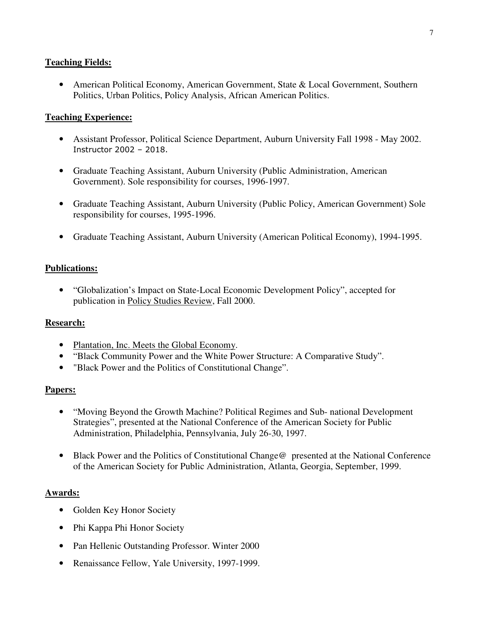## **Teaching Fields:**

• American Political Economy, American Government, State & Local Government, Southern Politics, Urban Politics, Policy Analysis, African American Politics.

#### **Teaching Experience:**

- Assistant Professor, Political Science Department, Auburn University Fall 1998 May 2002. Instructor 2002 – 2018.
- Graduate Teaching Assistant, Auburn University (Public Administration, American Government). Sole responsibility for courses, 1996-1997.
- Graduate Teaching Assistant, Auburn University (Public Policy, American Government) Sole responsibility for courses, 1995-1996.
- Graduate Teaching Assistant, Auburn University (American Political Economy), 1994-1995.

## **Publications:**

• "Globalization's Impact on State-Local Economic Development Policy", accepted for publication in Policy Studies Review, Fall 2000.

#### **Research:**

- Plantation, Inc. Meets the Global Economy.
- "Black Community Power and the White Power Structure: A Comparative Study".
- "Black Power and the Politics of Constitutional Change".

#### **Papers:**

- "Moving Beyond the Growth Machine? Political Regimes and Sub- national Development Strategies", presented at the National Conference of the American Society for Public Administration, Philadelphia, Pennsylvania, July 26-30, 1997.
- Black Power and the Politics of Constitutional Change @ presented at the National Conference of the American Society for Public Administration, Atlanta, Georgia, September, 1999.

#### **Awards:**

- Golden Key Honor Society
- Phi Kappa Phi Honor Society
- Pan Hellenic Outstanding Professor. Winter 2000
- Renaissance Fellow, Yale University, 1997-1999.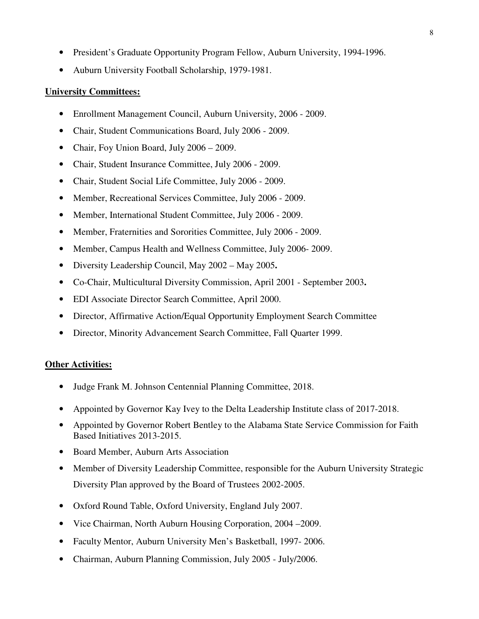- President's Graduate Opportunity Program Fellow, Auburn University, 1994-1996.
- Auburn University Football Scholarship, 1979-1981.

#### **University Committees:**

- Enrollment Management Council, Auburn University, 2006 2009.
- Chair, Student Communications Board, July 2006 2009.
- Chair, Foy Union Board, July 2006 2009.
- Chair, Student Insurance Committee, July 2006 2009.
- Chair, Student Social Life Committee, July 2006 2009.
- Member, Recreational Services Committee, July 2006 2009.
- Member, International Student Committee, July 2006 2009.
- Member, Fraternities and Sororities Committee, July 2006 2009.
- Member, Campus Health and Wellness Committee, July 2006- 2009.
- Diversity Leadership Council, May 2002 May 2005**.**
- Co-Chair, Multicultural Diversity Commission, April 2001 September 2003**.**
- EDI Associate Director Search Committee, April 2000.
- Director, Affirmative Action/Equal Opportunity Employment Search Committee
- Director, Minority Advancement Search Committee, Fall Quarter 1999.

#### **Other Activities:**

- Judge Frank M. Johnson Centennial Planning Committee, 2018.
- Appointed by Governor Kay Ivey to the Delta Leadership Institute class of 2017-2018.
- Appointed by Governor Robert Bentley to the Alabama State Service Commission for Faith Based Initiatives 2013-2015.
- Board Member, Auburn Arts Association
- Member of Diversity Leadership Committee, responsible for the Auburn University Strategic Diversity Plan approved by the Board of Trustees 2002-2005.
- Oxford Round Table, Oxford University, England July 2007.
- Vice Chairman, North Auburn Housing Corporation, 2004 2009.
- Faculty Mentor, Auburn University Men's Basketball, 1997- 2006.
- Chairman, Auburn Planning Commission, July 2005 July/2006.